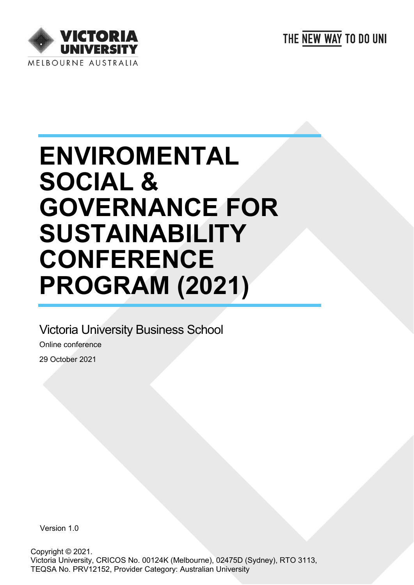



# **ENVIROMENTAL SOCIAL & GOVERNANCE FOR SUSTAINABILITY CONFERENCE PROGRAM (2021)**

## Victoria University Business School

Online conference 29 October 2021

Version 1.0

Copyright © 2021. Victoria University, CRICOS No. 00124K (Melbourne), 02475D (Sydney), RTO 3113, TEQSA No. PRV12152, Provider Category: Australian University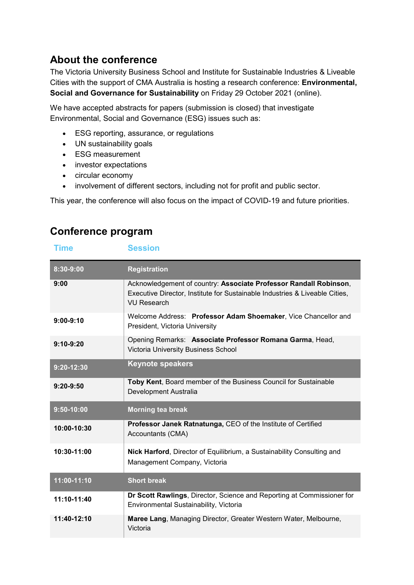### **About the conference**

The Victoria University Business School and Institute for Sustainable Industries & Liveable Cities with the support of CMA Australia is hosting a research conference: **Environmental, Social and Governance for Sustainability** on Friday 29 October 2021 (online).

We have accepted abstracts for papers (submission is closed) that investigate Environmental, Social and Governance (ESG) issues such as:

- ESG reporting, assurance, or regulations
- UN sustainability goals
- ESG measurement
- investor expectations
- circular economy
- involvement of different sectors, including not for profit and public sector.

This year, the conference will also focus on the impact of COVID-19 and future priorities.

#### **Conference program**

#### **Time Session**

| 8:30-9:00      | <b>Registration</b>                                                                                                                                                    |
|----------------|------------------------------------------------------------------------------------------------------------------------------------------------------------------------|
| 9:00           | Acknowledgement of country: Associate Professor Randall Robinson,<br>Executive Director, Institute for Sustainable Industries & Liveable Cities,<br><b>VU Research</b> |
| $9:00-9:10$    | Welcome Address: Professor Adam Shoemaker, Vice Chancellor and<br>President, Victoria University                                                                       |
| $9:10-9:20$    | Opening Remarks: Associate Professor Romana Garma, Head,<br>Victoria University Business School                                                                        |
| $9:20-12:30$   | <b>Keynote speakers</b>                                                                                                                                                |
| $9:20 - 9:50$  | Toby Kent, Board member of the Business Council for Sustainable<br>Development Australia                                                                               |
| $9:50 - 10:00$ | <b>Morning tea break</b>                                                                                                                                               |
| 10:00-10:30    | <b>Professor Janek Ratnatunga, CEO of the Institute of Certified</b><br>Accountants (CMA)                                                                              |
| 10:30-11:00    | Nick Harford, Director of Equilibrium, a Sustainability Consulting and<br>Management Company, Victoria                                                                 |
| 11:00-11:10    | <b>Short break</b>                                                                                                                                                     |
| 11:10-11:40    | Dr Scott Rawlings, Director, Science and Reporting at Commissioner for<br>Environmental Sustainability, Victoria                                                       |
| 11:40-12:10    | Maree Lang, Managing Director, Greater Western Water, Melbourne,<br>Victoria                                                                                           |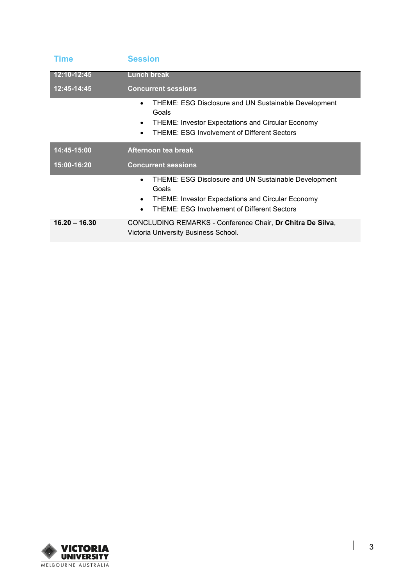| <b>Time</b>     | <b>Session</b>                                                                                                                                                                                      |
|-----------------|-----------------------------------------------------------------------------------------------------------------------------------------------------------------------------------------------------|
| 12:10-12:45     | <b>Lunch break</b>                                                                                                                                                                                  |
| 12:45-14:45     | <b>Concurrent sessions</b>                                                                                                                                                                          |
|                 | <b>THEME: ESG Disclosure and UN Sustainable Development</b><br>Goals<br><b>THEME: Investor Expectations and Circular Economy</b><br><b>THEME: ESG Involvement of Different Sectors</b><br>$\bullet$ |
| 14:45-15:00     | Afternoon tea break                                                                                                                                                                                 |
| 15:00-16:20     | <b>Concurrent sessions</b>                                                                                                                                                                          |
|                 | THEME: ESG Disclosure and UN Sustainable Development<br>$\bullet$<br>Goals<br><b>THEME: Investor Expectations and Circular Economy</b><br>THEME: ESG Involvement of Different Sectors               |
| $16.20 - 16.30$ | CONCLUDING REMARKS - Conference Chair, Dr Chitra De Silva,<br>Victoria University Business School.                                                                                                  |



 $\overline{\phantom{a}}$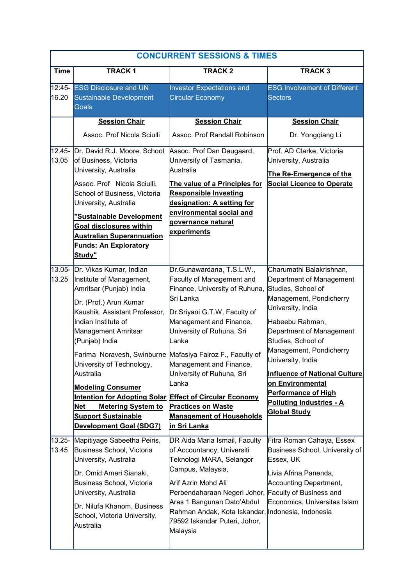|                    |                                                                                                                                                                                                                                                                                                                                                                                                                                                                                                                    | <b>CONCURRENT SESSIONS &amp; TIMES</b>                                                                                                                                                                                                                                                                                                                  |                                                                                                                                                                                                                                                                                                                                                                                                     |
|--------------------|--------------------------------------------------------------------------------------------------------------------------------------------------------------------------------------------------------------------------------------------------------------------------------------------------------------------------------------------------------------------------------------------------------------------------------------------------------------------------------------------------------------------|---------------------------------------------------------------------------------------------------------------------------------------------------------------------------------------------------------------------------------------------------------------------------------------------------------------------------------------------------------|-----------------------------------------------------------------------------------------------------------------------------------------------------------------------------------------------------------------------------------------------------------------------------------------------------------------------------------------------------------------------------------------------------|
| <b>Time</b>        | <b>TRACK1</b>                                                                                                                                                                                                                                                                                                                                                                                                                                                                                                      | <b>TRACK2</b>                                                                                                                                                                                                                                                                                                                                           | <b>TRACK3</b>                                                                                                                                                                                                                                                                                                                                                                                       |
| 16.20              | 12:45- ESG Disclosure and UN<br><b>Sustainable Development</b><br><b>Goals</b>                                                                                                                                                                                                                                                                                                                                                                                                                                     | <b>Investor Expectations and</b><br><b>Circular Economy</b>                                                                                                                                                                                                                                                                                             | <b>ESG Involvement of Different</b><br><b>Sectors</b>                                                                                                                                                                                                                                                                                                                                               |
|                    | <b>Session Chair</b><br>Assoc. Prof Nicola Sciulli                                                                                                                                                                                                                                                                                                                                                                                                                                                                 | <b>Session Chair</b><br>Assoc. Prof Randall Robinson                                                                                                                                                                                                                                                                                                    | <b>Session Chair</b><br>Dr. Yongqiang Li                                                                                                                                                                                                                                                                                                                                                            |
| $12.45 -$<br>13.05 | Dr. David R.J. Moore, School<br>of Business, Victoria<br>University, Australia<br>Assoc. Prof Nicola Sciulli,<br>School of Business, Victoria<br>University, Australia<br>"Sustainable Development<br><b>Goal disclosures within</b><br><b>Australian Superannuation</b><br><b>Funds: An Exploratory</b><br>Study"                                                                                                                                                                                                 | Assoc. Prof Dan Daugaard,<br>University of Tasmania,<br>Australia<br>The value of a Principles for<br><b>Responsible Investing</b><br>designation: A setting for<br>environmental social and<br>governance natural<br>experiments                                                                                                                       | Prof. AD Clarke, Victoria<br>University, Australia<br>The Re-Emergence of the<br><b>Social Licence to Operate</b>                                                                                                                                                                                                                                                                                   |
| 13.05-<br>13.25    | Dr. Vikas Kumar, Indian<br>Institute of Management,<br>Amritsar (Punjab) India<br>Dr. (Prof.) Arun Kumar<br>Kaushik, Assistant Professor,<br>Indian Institute of<br>Management Amritsar<br>(Punjab) India<br>Farima Noravesh, Swinburne Mafasiya Fairoz F., Faculty of<br>University of Technology,<br>Australia<br><b>Modeling Consumer</b><br><b>Intention for Adopting Solar Effect of Circular Economy</b><br>Net<br><b>Metering System to</b><br><b>Support Sustainable</b><br><b>Development Goal (SDG7)</b> | Dr.Gunawardana, T.S.L.W.,<br>Faculty of Management and<br>Finance, University of Ruhuna,<br>Sri Lanka<br>Dr.Sriyani G.T.W, Faculty of<br>Management and Finance,<br>University of Ruhuna, Sri<br>Lanka<br>Management and Finance,<br>University of Ruhuna, Sri<br>Lanka<br><b>Practices on Waste</b><br><b>Management of Households</b><br>in Sri Lanka | Charumathi Balakrishnan,<br>Department of Management<br>Studies, School of<br>Management, Pondicherry<br>University, India<br>Habeebu Rahman,<br>Department of Management<br>Studies, School of<br>Management, Pondicherry<br>University, India<br><b>Influence of National Culture</b><br>on Environmental<br><b>Performance of High</b><br><b>Polluting Industries - A</b><br><b>Global Study</b> |
| $13.25 -$<br>13.45 | Mapitiyage Sabeetha Peiris,<br>Business School, Victoria<br>University, Australia<br>Dr. Omid Ameri Sianaki,<br>Business School, Victoria<br>University, Australia<br>Dr. Nilufa Khanom, Business<br>School, Victoria University,<br>Australia                                                                                                                                                                                                                                                                     | DR Aida Maria Ismail, Faculty<br>of Accountancy, Universiti<br>Teknologi MARA, Selangor<br>Campus, Malaysia,<br>Arif Azrin Mohd Ali<br>Perbendaharaan Negeri Johor, Faculty of Business and<br>Aras 1 Bangunan Dato'Abdul<br>Rahman Andak, Kota Iskandar, Indonesia, Indonesia<br>79592 Iskandar Puteri, Johor,<br>Malaysia                             | Fitra Roman Cahaya, Essex<br>Business School, University of<br>Essex, UK<br>Livia Afrina Panenda,<br>Accounting Department,<br>Economics, Universitas Islam                                                                                                                                                                                                                                         |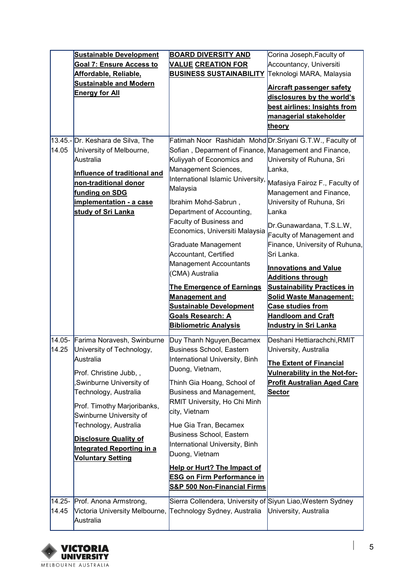|        | <b>Sustainable Development</b>              | <b>BOARD DIVERSITY AND</b>                                 | Corina Joseph, Faculty of            |
|--------|---------------------------------------------|------------------------------------------------------------|--------------------------------------|
|        | Goal 7: Ensure Access to                    | <b>VALUE CREATION FOR</b>                                  | Accountancy, Universiti              |
|        | Affordable, Reliable,                       | <b>BUSINESS SUSTAINABILITY</b>                             | Teknologi MARA, Malaysia             |
|        | <b>Sustainable and Modern</b>               |                                                            | <b>Aircraft passenger safety</b>     |
|        | <b>Energy for All</b>                       |                                                            | disclosures by the world's           |
|        |                                             |                                                            | best airlines: Insights from         |
|        |                                             |                                                            | managerial stakeholder               |
|        |                                             |                                                            | theory                               |
|        |                                             |                                                            |                                      |
|        | 13.45.- Dr. Keshara de Silva, The           | Fatimah Noor Rashidah Mohd Dr.Sriyani G.T.W., Faculty of   |                                      |
| 14.05  | University of Melbourne,                    | Sofian , Deparment of Finance, Management and Finance,     |                                      |
|        | Australia                                   | Kuliyyah of Economics and                                  | University of Ruhuna, Sri            |
|        | Influence of traditional and                | Management Sciences,                                       | Lanka,                               |
|        | non-traditional donor                       | International Islamic University,                          | Mafasiya Fairoz F., Faculty of       |
|        | funding on SDG                              | Malaysia                                                   | Management and Finance,              |
|        | implementation - a case                     | Ibrahim Mohd-Sabrun,                                       | University of Ruhuna, Sri            |
|        | study of Sri Lanka                          | Department of Accounting,                                  | Lanka                                |
|        |                                             | <b>Faculty of Business and</b>                             | Dr.Gunawardana, T.S.L.W,             |
|        |                                             | Economics, Universiti Malaysia                             | Faculty of Management and            |
|        |                                             | Graduate Management                                        | Finance, University of Ruhuna,       |
|        |                                             | Accountant, Certified                                      | Sri Lanka.                           |
|        |                                             | Management Accountants                                     |                                      |
|        |                                             | (CMA) Australia                                            | <b>Innovations and Value</b>         |
|        |                                             |                                                            | <b>Additions through</b>             |
|        |                                             | <b>The Emergence of Earnings</b>                           | <b>Sustainability Practices in</b>   |
|        |                                             |                                                            |                                      |
|        |                                             | <b>Management and</b>                                      | <b>Solid Waste Management:</b>       |
|        |                                             | <b>Sustainable Development</b>                             | <b>Case studies from</b>             |
|        |                                             | <b>Goals Research: A</b>                                   | <b>Handloom and Craft</b>            |
|        |                                             | <b>Bibliometric Analysis</b>                               | Industry in Sri Lanka                |
| 14.05- | Farima Noravesh, Swinburne                  | Duy Thanh Nguyen, Becamex                                  | Deshani Hettiarachchi, RMIT          |
| 14.25  | University of Technology,                   | <b>Business School, Eastern</b>                            | University, Australia                |
|        | Australia                                   | International University, Binh                             | The Extent of Financial              |
|        | Prof. Christine Jubb,,                      | Duong, Vietnam,                                            | <b>Vulnerability in the Not-for-</b> |
|        | Swinburne University of                     | Thinh Gia Hoang, School of                                 | <b>Profit Australian Aged Care</b>   |
|        | Technology, Australia                       | Business and Management,                                   | Sector                               |
|        |                                             | RMIT University, Ho Chi Minh                               |                                      |
|        | Prof. Timothy Marjoribanks,                 | city, Vietnam                                              |                                      |
|        | Swinburne University of                     |                                                            |                                      |
|        | Technology, Australia                       | Hue Gia Tran, Becamex<br><b>Business School, Eastern</b>   |                                      |
|        | <b>Disclosure Quality of</b>                | International University, Binh                             |                                      |
|        | <b>Integrated Reporting in a</b>            | Duong, Vietnam                                             |                                      |
|        | <b>Voluntary Setting</b>                    |                                                            |                                      |
|        |                                             | <b>Help or Hurt? The Impact of</b>                         |                                      |
|        |                                             | <b>ESG on Firm Performance in</b>                          |                                      |
|        |                                             | S&P 500 Non-Financial Firms                                |                                      |
| 14.25- | Prof. Anona Armstrong,                      | Sierra Collendera, University of Siyun Liao,Western Sydney |                                      |
| 14.45  | Victoria University Melbourne,<br>Australia | Technology Sydney, Australia                               | University, Australia                |



 $\begin{array}{c} \hline \end{array}$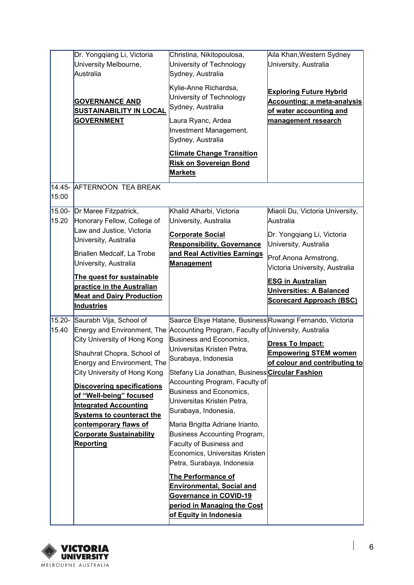|                 | Dr. Yongqiang Li, Victoria<br>University Melbourne,<br>Australia                                                                                                  | Christina, Nikitopoulosa,<br>University of Technology<br>Sydney, Australia                                                                                                                                                         | Aila Khan,Western Sydney<br>University, Australia                                                                                                              |
|-----------------|-------------------------------------------------------------------------------------------------------------------------------------------------------------------|------------------------------------------------------------------------------------------------------------------------------------------------------------------------------------------------------------------------------------|----------------------------------------------------------------------------------------------------------------------------------------------------------------|
|                 | <b>GOVERNANCE AND</b><br><b>SUSTAINABILITY IN LOCAL</b><br><b>GOVERNMENT</b>                                                                                      | Kylie-Anne Richardsa,<br>University of Technology<br>Sydney, Australia<br>Laura Ryanc, Ardea<br>Investment Management,<br>Sydney, Australia                                                                                        | <b>Exploring Future Hybrid</b><br><b>Accounting: a meta-analysis</b><br>of water accounting and<br>management research                                         |
|                 |                                                                                                                                                                   | <b>Climate Change Transition</b><br><b>Risk on Sovereign Bond</b><br><b>Markets</b>                                                                                                                                                |                                                                                                                                                                |
| 15:00           | 14.45- AFTERNOON TEA BREAK                                                                                                                                        |                                                                                                                                                                                                                                    |                                                                                                                                                                |
| 15.00-<br>15.20 | Dr Maree Fitzpatrick,<br>Honorary Fellow, College of<br>Law and Justice, Victoria<br>University, Australia<br>Briallen Medcalf, La Trobe<br>University, Australia | Khalid Alharbi, Victoria<br>University, Australia<br><b>Corporate Social</b><br><b>Responsibility, Governance</b><br>and Real Activities Earnings<br><b>Management</b>                                                             | Miaoli Du, Victoria University,<br>Australia<br>Dr. Yongqiang Li, Victoria<br>University, Australia<br>Prof.Anona Armstrong,<br>Victoria University, Australia |
|                 | The quest for sustainable<br>practice in the Australian<br><b>Meat and Dairy Production</b><br><b>Industries</b>                                                  |                                                                                                                                                                                                                                    | <b>ESG in Australian</b><br><b>Universities: A Balanced</b><br><b>Scorecard Approach (BSC)</b>                                                                 |
| 15.20-<br>15.40 | Saurabh Vija, School of<br>City University of Hong Kong<br>Shauhrat Chopra, School of<br>Energy and Environment, The                                              | Saarce Elsye Hatane, BusinessRuwangi Fernando, Victoria<br>Energy and Environment, The Accounting Program, Faculty of University, Australia<br><b>Business and Economics,</b><br>Universitas Kristen Petra,<br>Surabaya, Indonesia | Dress To Impact:<br><b>Empowering STEM women</b><br>of colour and contributing to                                                                              |
|                 | City University of Hong Kong<br><b>Discovering specifications</b><br>of "Well-being" focused<br><b>Integrated Accounting</b>                                      | Stefany Lia Jonathan, Business <mark>Circular Fashion</mark><br>Accounting Program, Faculty of<br>Business and Economics,<br>Universitas Kristen Petra,<br>Surabaya, Indonesia,                                                    |                                                                                                                                                                |
|                 | <b>Systems to counteract the</b><br>contemporary flaws of<br><b>Corporate Sustainability</b><br>Reporting                                                         | Maria Brigitta Adriane Irianto,<br>Business Accounting Program,<br><b>Faculty of Business and</b><br>Economics, Universitas Kristen<br>Petra, Surabaya, Indonesia                                                                  |                                                                                                                                                                |
|                 |                                                                                                                                                                   | <b>The Performance of</b><br><b>Environmental, Social and</b><br>Governance in COVID-19<br>period in Managing the Cost<br>of Equity in Indonesia                                                                                   |                                                                                                                                                                |



 $\begin{array}{c} \hline \end{array}$